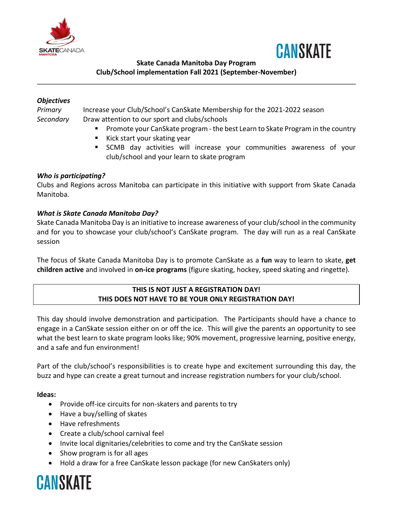



# **Skate Canada Manitoba Day Program Club/School implementation Fall 2021 (September-November)**

#### *Objectives*

*Primary* Increase your Club/School's CanSkate Membership for the 2021-2022 season *Secondary* Draw attention to our sport and clubs/schools

- Promote your CanSkate program the best Learn to Skate Program in the country
- Kick start your skating year
- **EXTERG** SCMB day activities will increase your communities awareness of your club/school and your learn to skate program

# *Who is participating?*

Clubs and Regions across Manitoba can participate in this initiative with support from Skate Canada Manitoba.

# *What is Skate Canada Manitoba Day?*

Skate Canada Manitoba Day is an initiative to increase awareness of your club/school in the community and for you to showcase your club/school's CanSkate program. The day will run as a real CanSkate session

The focus of Skate Canada Manitoba Day is to promote CanSkate as a **fun** way to learn to skate, **get children active** and involved in **on-ice programs** (figure skating, hockey, speed skating and ringette).

# **THIS IS NOT JUST A REGISTRATION DAY! THIS DOES NOT HAVE TO BE YOUR ONLY REGISTRATION DAY!**

This day should involve demonstration and participation. The Participants should have a chance to engage in a CanSkate session either on or off the ice. This will give the parents an opportunity to see what the best learn to skate program looks like; 90% movement, progressive learning, positive energy, and a safe and fun environment!

Part of the club/school's responsibilities is to create hype and excitement surrounding this day, the buzz and hype can create a great turnout and increase registration numbers for your club/school.

#### **Ideas:**

- Provide off-ice circuits for non-skaters and parents to try
- Have a buy/selling of skates
- Have refreshments
- Create a club/school carnival feel
- Invite local dignitaries/celebrities to come and try the CanSkate session
- Show program is for all ages
- Hold a draw for a free CanSkate lesson package (for new CanSkaters only)

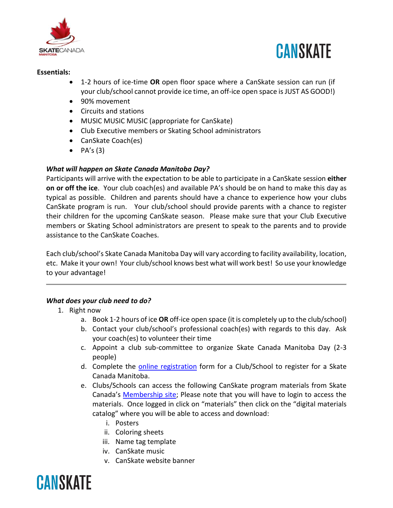



#### **Essentials:**

- 1-2 hours of ice-time **OR** open floor space where a CanSkate session can run (if your club/school cannot provide ice time, an off-ice open space is JUST AS GOOD!)
- 90% movement
- Circuits and stations
- MUSIC MUSIC MUSIC (appropriate for CanSkate)
- Club Executive members or Skating School administrators
- CanSkate Coach(es)
- $\bullet$  PA's (3)

# *What will happen on Skate Canada Manitoba Day?*

Participants will arrive with the expectation to be able to participate in a CanSkate session **either on or off the ice**. Your club coach(es) and available PA's should be on hand to make this day as typical as possible. Children and parents should have a chance to experience how your clubs CanSkate program is run. Your club/school should provide parents with a chance to register their children for the upcoming CanSkate season. Please make sure that your Club Executive members or Skating School administrators are present to speak to the parents and to provide assistance to the CanSkate Coaches.

Each club/school's Skate Canada Manitoba Day will vary according to facility availability, location, etc. Make it your own! Your club/school knows best what will work best! So use your knowledge to your advantage!

# *What does your club need to do?*

- 1. Right now
	- a. Book 1-2 hours of ice **OR** off-ice open space (it is completely up to the club/school)
	- b. Contact your club/school's professional coach(es) with regards to this day. Ask your coach(es) to volunteer their time
	- c. Appoint a club sub-committee to organize Skate Canada Manitoba Day (2-3 people)
	- d. Complete the **online registration** form for a Club/School to register for a Skate Canada Manitoba.
	- e. Clubs/Schools can access the following CanSkate program materials from Skate Canada's [Membership site;](https://members.skatecanada.ca/en-US/) Please note that you will have to login to access the materials. Once logged in click on "materials" then click on the "digital materials catalog" where you will be able to access and download:
		- i. Posters
		- ii. Coloring sheets
		- iii. Name tag template
		- iv. CanSkate music
		- v. CanSkate website banner

# **CANSKATE**